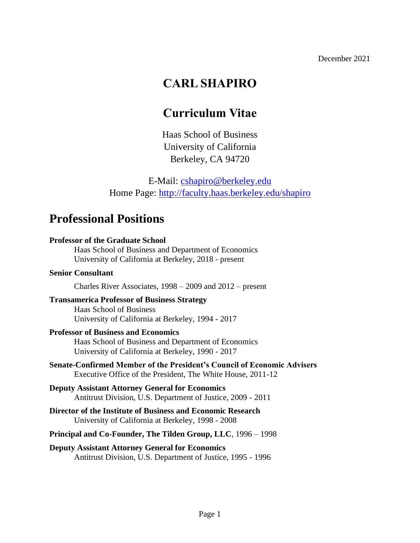# **CARL SHAPIRO**

# **Curriculum Vitae**

Haas School of Business University of California Berkeley, CA 94720

E-Mail: [cshapiro@berkeley.edu](mailto:cshapiro@berkeley.edu) Home Page:<http://faculty.haas.berkeley.edu/shapiro>

## **Professional Positions**

## **Professor of the Graduate School** Haas School of Business and Department of Economics University of California at Berkeley, 2018 - present **Senior Consultant** Charles River Associates, 1998 – 2009 and 2012 – present **Transamerica Professor of Business Strategy** Haas School of Business University of California at Berkeley, 1994 - 2017 **Professor of Business and Economics**

Haas School of Business and Department of Economics University of California at Berkeley, 1990 - 2017

- **Senate-Confirmed Member of the President's Council of Economic Advisers** Executive Office of the President, The White House, 2011-12
- **Deputy Assistant Attorney General for Economics** Antitrust Division, U.S. Department of Justice, 2009 - 2011
- **Director of the Institute of Business and Economic Research** University of California at Berkeley, 1998 - 2008
- **Principal and Co-Founder, The Tilden Group, LLC**, 1996 1998
- **Deputy Assistant Attorney General for Economics** Antitrust Division, U.S. Department of Justice, 1995 - 1996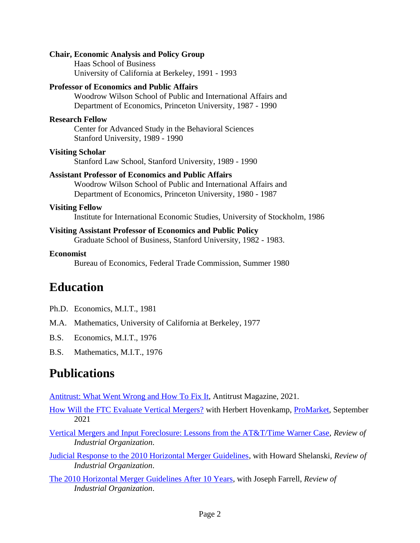#### **Chair, Economic Analysis and Policy Group**

Haas School of Business University of California at Berkeley, 1991 - 1993

#### **Professor of Economics and Public Affairs**

Woodrow Wilson School of Public and International Affairs and Department of Economics, Princeton University, 1987 - 1990

#### **Research Fellow**

Center for Advanced Study in the Behavioral Sciences Stanford University, 1989 - 1990

#### **Visiting Scholar**

Stanford Law School, Stanford University, 1989 - 1990

#### **Assistant Professor of Economics and Public Affairs**

Woodrow Wilson School of Public and International Affairs and Department of Economics, Princeton University, 1980 - 1987

#### **Visiting Fellow**

Institute for International Economic Studies, University of Stockholm, 1986

#### **Visiting Assistant Professor of Economics and Public Policy**

Graduate School of Business, Stanford University, 1982 - 1983.

#### **Economist**

Bureau of Economics, Federal Trade Commission, Summer 1980

## **Education**

- Ph.D. Economics, M.I.T., 1981
- M.A. Mathematics, University of California at Berkeley, 1977
- B.S. Economics, M.I.T., 1976
- B.S. Mathematics, M.I.T., 1976

# **Publications**

[Antitrust: What Went Wrong and How To Fix It,](http://faculty.haas.berkeley.edu/shapiro/fixingantitrust.pdf) Antitrust Magazine, 2021.

- [How Will the FTC Evaluate Vertical Mergers?](https://faculty.haas.berkeley.edu/shapiro/FTCVMGCSHH.pdf) with Herbert Hovenkamp, [ProMarket,](https://promarket.org/2021/09/23/ftc-vertical-mergers-antitrust-shapiro-hovenkamp/) September 2021
- [Vertical Mergers and Input Foreclosure: Lessons from the AT&T/Time Warner Case,](http://faculty.haas.berkeley.edu/shapiro/verticalmergers.pdf) *Review of Industrial Organization*.
- [Judicial Response to the 2010 Horizontal Merger Guidelines,](http://faculty.haas.berkeley.edu/shapiro/judicialresponse.pdf) with Howard Shelanski, *Review of Industrial Organization*.
- [The 2010 Horizontal Merger Guidelines](https://faculty.haas.berkeley.edu/shapiro/HMGintro.pdf) After 10 Years, with Joseph Farrell, *Review of Industrial Organization*.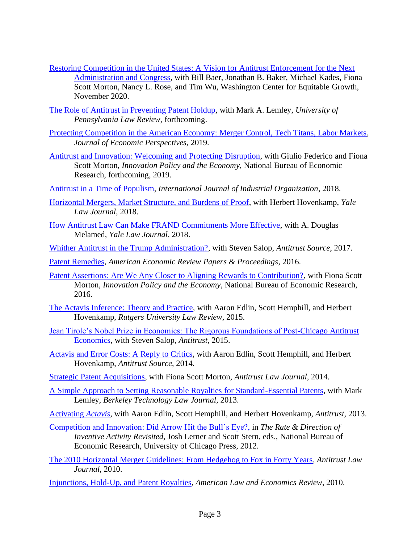- [Restoring Competition in the United States: A Vision for Antitrust Enforcement for the Next](http://faculty.haas.berkeley.edu/shapiro/restoringcompetition.pdf)  [Administration and Congress,](http://faculty.haas.berkeley.edu/shapiro/restoringcompetition.pdf) with Bill Baer, Jonathan B. Baker, Michael Kades, Fiona Scott Morton, Nancy L. Rose, and Tim Wu, Washington Center for Equitable Growth, November 2020.
- [The Role of Antitrust in Preventing Patent Holdup,](http://faculty.haas.berkeley.edu/shapiro/patentholdup.pdf) with Mark A. Lemley, *University of Pennsylvania Law Review,* forthcoming.
- [Protecting Competition in the American Economy: Merger Control, Tech Titans, Labor Markets,](http://faculty.haas.berkeley.edu/shapiro/protectingcompetition.pdf) *Journal of Economic Perspectives,* 2019.
- [Antitrust and Innovation: Welcoming and Protecting Disruption,](http://faculty.haas.berkeley.edu/shapiro/disruption.pdf) with Giulio Federico and Fiona Scott Morton, *Innovation Policy and the Economy*, National Bureau of Economic Research, forthcoming, 2019.
- [Antitrust in a Time of Populism,](http://faculty.haas.berkeley.edu/shapiro/antitrustpopulism.pdf) *International Journal of Industrial Organization*, 2018.
- [Horizontal Mergers, Market Structure, and Burdens of Proof,](http://faculty.haas.berkeley.edu/shapiro/structuralpresumption.pdf) with Herbert Hovenkamp, *Yale Law Journal*, 2018.
- [How Antitrust Law Can Make FRAND Commitments More Effective,](http://faculty.haas.berkeley.edu/shapiro/frandcommitment.pdf) with A. Douglas Melamed, *Yale Law Journal*, 2018.
- [Whither Antitrust in the Trump Administration?,](http://faculty.haas.berkeley.edu/shapiro/trumpantitrust.pdf) with Steven Salop, *Antitrust Source*, 2017.
- [Patent Remedies,](http://faculty.haas.berkeley.edu/shapiro/patentremedies.pdf) *American Economic Review Papers & Proceedings*, 2016.
- Patent [Assertions: Are We Any Closer to Aligning Rewards to Contribution?,](http://faculty.haas.berkeley.edu/shapiro/patentassertions.pdf) with Fiona Scott Morton, *Innovation Policy and the Economy*, National Bureau of Economic Research, 2016.
- [The Actavis Inference: Theory and Practice,](http://faculty.haas.berkeley.edu/shapiro/actavisinference.pdf) with Aaron Edlin, Scott Hemphill, and Herbert Hovenkamp, *Rutgers University Law Review*, 2015.
- [Jean Tirole's Nobel Prize in Economics: The Rigorous Foundations of Post-Chicago Antitrust](http://faculty.haas.berkeley.edu/shapiro/tirolenobel.pdf)  [Economics,](http://faculty.haas.berkeley.edu/shapiro/tirolenobel.pdf) with Steven Salop, *Antitrust*, 2015.
- [Actavis and Error Costs: A Reply to Critics,](http://faculty.haas.berkeley.edu/shapiro/actaviserrorcosts.pdf) with Aaron Edlin, Scott Hemphill, and Herbert Hovenkamp, *Antitrust Source*, 2014.
- [Strategic Patent Acquisitions,](http://faculty.haas.berkeley.edu/shapiro/pae.pdf) with Fiona Scott Morton, *Antitrust Law Journal*, 2014.
- [A Simple Approach to Setting Reasonable Royalties for Standard-Essential Patents,](http://faculty.haas.berkeley.edu/shapiro/frand.pdf) with Mark Lemley, *Berkeley Technology Law Journal,* 2013.
- [Activating](http://faculty.haas.berkeley.edu/shapiro/actavis.pdf) *Actavis*, with Aaron Edlin, Scott Hemphill, and Herbert Hovenkamp, *Antitrust,* 2013.
- [Competition and Innovation: Did Arrow Hit the Bull's Eye?,](http://faculty.haas.berkeley.edu/shapiro/arrow.pdf) in *The Rate & Direction of Inventive Activity Revisited,* Josh Lerner and Scott Stern, eds., National Bureau of Economic Research, University of Chicago Press, 2012.
- The 2010 Horizontal [Merger Guidelines: From Hedgehog to Fox in Forty Years,](http://faculty.haas.berkeley.edu/shapiro/hedgehog.pdf) *Antitrust Law Journal*, 2010.
- [Injunctions, Hold-Up, and Patent Royalties,](http://faculty.haas.berkeley.edu/shapiro/royalties.pdf) *American Law and Economics Review*, 2010.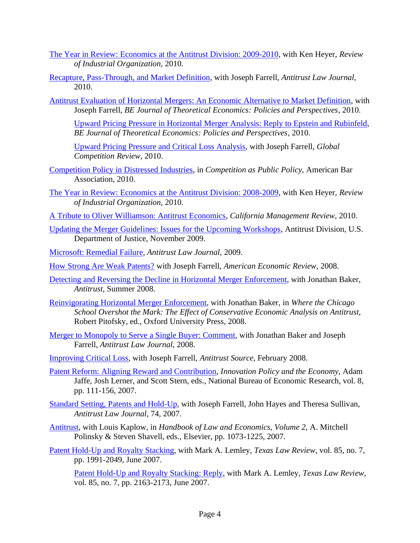- [The Year in Review: Economics at the Antitrust Division: 2009-2010,](http://faculty.haas.berkeley.edu/shapiro/EAG2009-10.pdf) with Ken Heyer, *Review of Industrial Organization,* 2010.
- [Recapture, Pass-Through, and Market Definition,](http://faculty.haas.berkeley.edu/shapiro/recapture.pdf) with Joseph Farrell, *Antitrust Law Journal*, 2010.
- [Antitrust Evaluation of Horizontal Mergers: An Economic Alternative to Market Definition,](http://faculty.haas.berkeley.edu/shapiro/alternative.pdf) with Joseph Farrell, *BE Journal of Theoretical Economics: Policies and Perspectives*, 2010.

[Upward Pricing Pressure in Horizontal Merger Analysis: Reply to Epstein and Rubinfeld,](http://faculty.haas.berkeley.edu/shapiro/uppreply.pdf) *BE Journal of Theoretical Economics: Policies and Perspectives*, 2010.

[Upward Pricing Pressure and Critical Loss Analysis,](http://faculty.haas.berkeley.edu/shapiro/uppcritical.pdf) with Joseph Farrell, *Global Competition Review*, 2010.

- [Competition Policy in Distressed Industries,](http://www.justice.gov/atr/public/speeches/245857.pdf) in *Competition as Public Policy,* American Bar Association, 2010.
- [The Year in Review: Economics at the Antitrust Division: 2008-2009,](http://faculty.haas.berkeley.edu/shapiro/EAG2008-09.pdf) with Ken Heyer, *Review of Industrial Organization,* 2010.
- [A Tribute to Oliver Williamson: Antitrust Economics,](http://faculty.haas.berkeley.edu/shapiro/williamson.pdf) *California Management Review,* 2010.
- [Updating the Merger Guidelines: Issues for the Upcoming Workshops,](http://www.justice.gov/atr/public/speeches/251858.pdf) Antitrust Division, U.S. Department of Justice, November 2009.
- [Microsoft: Remedial Failure,](http://faculty.haas.berkeley.edu/shapiro/microsoft2008.pdf) *Antitrust Law Journal,* 2009.
- [How Strong Are Weak Patents?](http://faculty.haas.berkeley.edu/shapiro/weak.pdf) with Joseph Farrell, *American Economic Review,* 2008.
- [Detecting and Reversing the Decline in Horizontal Merger Enforcement,](http://faculty.haas.berkeley.edu/shapiro/detecting.pdf) with Jonathan Baker, *Antitrust*, Summer 2008.
- [Reinvigorating Horizontal Merger Enforcement,](http://faculty.haas.berkeley.edu/shapiro/mergerpolicy.pdf) with Jonathan Baker, in *Where the Chicago School Overshot the Mark: The Effect of Conservative Economic Analysis on Antitrust,*  Robert Pitofsky, ed., Oxford University Press, 2008.
- [Merger to Monopoly to Serve a Single Buyer: Comment,](http://faculty.haas.berkeley.edu/shapiro/mergertomonopoly.pdf) with Jonathan Baker and Joseph Farrell, *Antitrust Law Journal,* 2008.
- [Improving Critical Loss,](http://faculty.haas.berkeley.edu/shapiro/critical2008.pdf) with Joseph Farrell, *Antitrust Source,* February 2008.
- [Patent Reform: Aligning Reward and Contribution,](http://faculty.haas.berkeley.edu/shapiro/align.pdf) *Innovation Policy and the Economy,* Adam Jaffe, Josh Lerner, and Scott Stern, eds., National Bureau of Economic Research, vol. 8, pp. 111-156, 2007.
- [Standard Setting, Patents and Hold-Up,](http://faculty.haas.berkeley.edu/shapiro/standards2007.pdf) with Joseph Farrell, John Hayes and Theresa Sullivan, *Antitrust Law Journal*, 74, 2007.
- [Antitrust,](http://faculty.haas.berkeley.edu/shapiro/antitrust2007.pdf) with Louis Kaplow, in *Handbook of Law and Economics, Volume 2,* A. Mitchell Polinsky & Steven Shavell, eds., Elsevier, pp. 1073-1225, 2007.
- [Patent Hold-Up and](http://faculty.haas.berkeley.edu/shapiro/stacking.pdf) Royalty Stacking, with Mark A. Lemley, *Texas Law Review*, vol. 85, no. 7, pp. 1991-2049, June 2007.

[Patent Hold-Up and Royalty Stacking: Reply,](http://faculty.haas.berkeley.edu/shapiro/stackingreply.pdf) with Mark A. Lemley, *Texas Law Review*, vol. 85, no. 7, pp. 2163-2173, June 2007.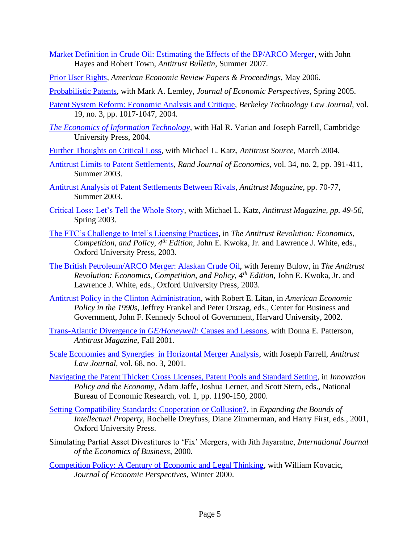- [Market Definition in Crude Oil: Estimating the Effects of the BP/ARCO Merger,](http://faculty.haas.berkeley.edu/shapiro/crudeoil.pdf) with John Hayes and Robert Town, *Antitrust Bulletin*, Summer 2007.
- [Prior User Rights,](http://faculty.haas.berkeley.edu/shapiro/prior.pdf) *American Economic Review Papers & Proceedings,* May 2006.
- [Probabilistic Patents,](http://faculty.haas.berkeley.edu/shapiro/patents.pdf) with Mark A. Lemley, *Journal of Economic Perspectives*, Spring 2005.
- [Patent System Reform: Economic Analysis and Critique,](http://faculty.haas.berkeley.edu/shapiro/patentreform.pdf) *Berkeley Technology Law Journal,* vol. 19, no. 3, pp. 1017-1047, 2004.
- *[The Economics of Information Technology,](http://www.cambridge.org/gb/knowledge/isbn/item1156805/?site_locale=en_GB)* with Hal R. Varian and Joseph Farrell, Cambridge University Press, 2004.
- [Further Thoughts on Critical Loss,](http://faculty.haas.berkeley.edu/shapiro/critical2.pdf) with Michael L. Katz, *Antitrust Source,* March 2004.
- [Antitrust Limits to Patent Settlements,](http://faculty.haas.berkeley.edu/shapiro/settle.pdf) *Rand Journal of Economics,* vol. 34, no. 2, pp. 391-411, Summer 2003.
- [Antitrust Analysis of Patent Settlements Between Rivals,](http://faculty.haas.berkeley.edu/shapiro/settle_am.pdf) *Antitrust Magazine,* pp. 70-77, Summer 2003.
- [Critical Loss: Let's Tell the Whole Story,](http://faculty.haas.berkeley.edu/shapiro/critical.pdf) with Michael L. Katz, *Antitrust Magazine, pp. 49-56,*  Spring 2003.
- [The FTC's Challenge to Intel's Licensing Practices,](http://faculty.haas.berkeley.edu/shapiro/intel.pdf) in *The Antitrust Revolution: Economics, Competition, and Policy, 4th Edition,* John E. Kwoka, Jr. and Lawrence J. White, eds., Oxford University Press, 2003.
- [The British Petroleum/ARCO Merger: Alaskan Crude Oil,](http://faculty.haas.berkeley.edu/shapiro/alaska.pdf) with Jeremy Bulow, in *The Antitrust Revolution: Economics, Competition, and Policy, 4th Edition,* John E. Kwoka, Jr. and Lawrence J. White, eds., Oxford University Press, 2003.
- [Antitrust Policy in the Clinton Administration,](http://faculty.haas.berkeley.edu/shapiro/antitrust.pdf) with Robert E. Litan, in *American Economic Policy in the 1990s*, Jeffrey Frankel and Peter Orszag, eds., Center for Business and Government, John F. Kennedy School of Government, Harvard University, 2002.
- [Trans-Atlantic Divergence in](http://faculty.haas.berkeley.edu/shapiro/divergence.pdf) *GE/Honeywell:* Causes and Lessons, with Donna E. Patterson, *Antitrust Magazine,* Fall 2001.
- [Scale Economies and Synergies in Horizontal Merger Analysis,](http://faculty.haas.berkeley.edu/shapiro/mergers.pdf) with Joseph Farrell, *Antitrust Law Journal*, vol. 68, no. 3, 2001.
- [Navigating the Patent Thicket: Cross Licenses, Patent Pools and Standard Setting,](http://faculty.haas.berkeley.edu/shapiro/thicket.pdf) in *Innovation Policy and the Economy*, Adam Jaffe, Joshua Lerner, and Scott Stern, eds., National Bureau of Economic Research, vol. 1, pp. 1190-150, 2000.
- [Setting Compatibility Standards: Cooperation or Collusion?,](http://faculty.haas.berkeley.edu/shapiro/standards.pdf) in *Expanding the Bounds of Intellectual Property*, Rochelle Dreyfuss, Diane Zimmerman, and Harry First, eds., 2001, Oxford University Press.
- Simulating Partial Asset Divestitures to 'Fix' Mergers, with Jith Jayaratne, *International Journal of the Economics of Business*, 2000.
- [Competition Policy: A Century of Economic and Legal Thinking,](http://faculty.haas.berkeley.edu/shapiro/century.pdf) with William Kovacic, *Journal of Economic Perspectives*, Winter 2000.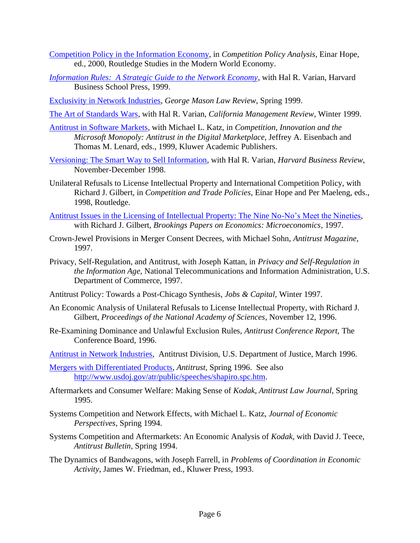- [Competition Policy in the Information Economy,](http://faculty.haas.berkeley.edu/shapiro/comppolicy.pdf) in *Competition Policy Analysis*, Einar Hope, ed., 2000, Routledge Studies in the Modern World Economy.
- *[Information Rules: A Strategic Guide to the Network Economy,](http://www.inforules.com/)* with Hal R. Varian, Harvard Business School Press, 1999.
- [Exclusivity in Network Industries,](http://faculty.haas.berkeley.edu/shapiro/exclusivity.pdf) *George Mason Law Review*, Spring 1999.
- [The Art of Standards Wars,](http://faculty.haas.berkeley.edu/shapiro/wars.pdf) with Hal R. Varian, *California Management Review*, Winter 1999.
- [Antitrust in Software Markets,](http://faculty.haas.berkeley.edu/shapiro/software.pdf) with Michael L. Katz, in *Competition, Innovation and the Microsoft Monopoly: Antitrust in the Digital Marketplace*, Jeffrey A. Eisenbach and Thomas M. Lenard, eds., 1999, Kluwer Academic Publishers.
- [Versioning: The Smart Way to Sell Information,](http://faculty.haas.berkeley.edu/shapiro/version.pdf) with Hal R. Varian, *Harvard Business Review*, November-December 1998.
- Unilateral Refusals to License Intellectual Property and International Competition Policy, with Richard J. Gilbert, in *Competition and Trade Policies*, Einar Hope and Per Maeleng, eds., 1998, Routledge.
- [Antitrust Issues in the Licensing of Intellectual Property: The Nine No-No's Meet the Nineties,](http://faculty.haas.berkeley.edu/shapiro/ninenono.pdf) with Richard J. Gilbert, *Brookings Papers on Economics: Microeconomics*, 1997.
- Crown-Jewel Provisions in Merger Consent Decrees, with Michael Sohn, *Antitrust Magazine*, 1997.
- Privacy, Self-Regulation, and Antitrust, with Joseph Kattan, in *Privacy and Self-Regulation in the Information Age*, National Telecommunications and Information Administration, U.S. Department of Commerce, 1997.
- Antitrust Policy: Towards a Post-Chicago Synthesis, *Jobs & Capital*, Winter 1997.
- An Economic Analysis of Unilateral Refusals to License Intellectual Property, with Richard J. Gilbert, *Proceedings of the National Academy of Sciences*, November 12, 1996.
- Re-Examining Dominance and Unlawful Exclusion Rules, *Antitrust Conference Report,* The Conference Board, 1996.
- [Antitrust in Network Industries,](http://www.usdoj.gov/atr/public/speeches/0593.htm) Antitrust Division, U.S. Department of Justice, March 1996.
- [Mergers with Differentiated Products,](http://faculty.haas.berkeley.edu/shapiro/diversion.pdf) *Antitrust*, Spring 1996. See also [http://www.usdoj.gov/atr/public/speeches/shapiro.spc.htm.](http://www.usdoj.gov/atr/public/speeches/shapiro.spc.htm)
- Aftermarkets and Consumer Welfare: Making Sense of *Kodak*, *Antitrust Law Journal*, Spring 1995.
- Systems Competition and Network Effects, with Michael L. Katz, *Journal of Economic Perspectives*, Spring 1994.
- Systems Competition and Aftermarkets: An Economic Analysis of *Kodak*, with David J. Teece, *Antitrust Bulletin*, Spring 1994.
- The Dynamics of Bandwagons, with Joseph Farrell, in *Problems of Coordination in Economic Activity*, James W. Friedman, ed., Kluwer Press, 1993.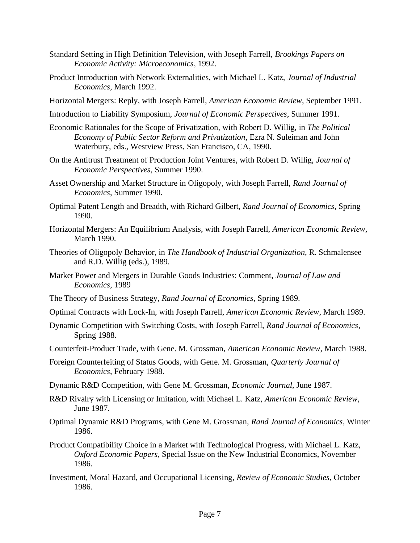- Standard Setting in High Definition Television, with Joseph Farrell, *Brookings Papers on Economic Activity: Microeconomics*, 1992.
- Product Introduction with Network Externalities, with Michael L. Katz, *Journal of Industrial Economics*, March 1992.
- Horizontal Mergers: Reply, with Joseph Farrell, *American Economic Review*, September 1991.
- Introduction to Liability Symposium, *Journal of Economic Perspectives*, Summer 1991.
- Economic Rationales for the Scope of Privatization, with Robert D. Willig, in *The Political Economy of Public Sector Reform and Privatization*, Ezra N. Suleiman and John Waterbury, eds., Westview Press, San Francisco, CA, 1990.
- On the Antitrust Treatment of Production Joint Ventures, with Robert D. Willig, *Journal of Economic Perspectives*, Summer 1990.
- Asset Ownership and Market Structure in Oligopoly, with Joseph Farrell, *Rand Journal of Economics*, Summer 1990.
- Optimal Patent Length and Breadth, with Richard Gilbert, *Rand Journal of Economics*, Spring 1990.
- Horizontal Mergers: An Equilibrium Analysis, with Joseph Farrell, *American Economic Review*, March 1990.
- Theories of Oligopoly Behavior, in *The Handbook of Industrial Organization*, R. Schmalensee and R.D. Willig (eds.), 1989.
- Market Power and Mergers in Durable Goods Industries: Comment, *Journal of Law and Economics*, 1989
- The Theory of Business Strategy, *Rand Journal of Economics*, Spring 1989.
- Optimal Contracts with Lock-In, with Joseph Farrell, *American Economic Review*, March 1989.
- Dynamic Competition with Switching Costs, with Joseph Farrell, *Rand Journal of Economics*, Spring 1988.
- Counterfeit-Product Trade, with Gene. M. Grossman, *American Economic Review*, March 1988.
- Foreign Counterfeiting of Status Goods, with Gene. M. Grossman, *Quarterly Journal of Economics*, February 1988.
- Dynamic R&D Competition, with Gene M. Grossman, *Economic Journal*, June 1987.
- R&D Rivalry with Licensing or Imitation, with Michael L. Katz, *American Economic Review*, June 1987.
- Optimal Dynamic R&D Programs, with Gene M. Grossman, *Rand Journal of Economics*, Winter 1986.
- Product Compatibility Choice in a Market with Technological Progress, with Michael L. Katz, *Oxford Economic Papers*, Special Issue on the New Industrial Economics, November 1986.
- Investment, Moral Hazard, and Occupational Licensing, *Review of Economic Studies*, October 1986.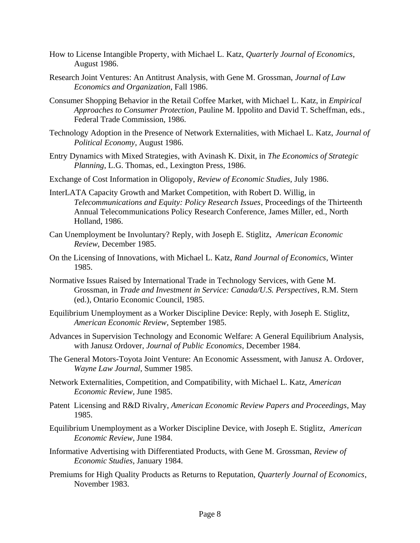- How to License Intangible Property, with Michael L. Katz, *Quarterly Journal of Economics*, August 1986.
- Research Joint Ventures: An Antitrust Analysis, with Gene M. Grossman, *Journal of Law Economics and Organization*, Fall 1986.
- Consumer Shopping Behavior in the Retail Coffee Market, with Michael L. Katz, in *Empirical Approaches to Consumer Protection*, Pauline M. Ippolito and David T. Scheffman, eds., Federal Trade Commission, 1986.
- Technology Adoption in the Presence of Network Externalities, with Michael L. Katz, *Journal of Political Economy*, August 1986.
- Entry Dynamics with Mixed Strategies, with Avinash K. Dixit, in *The Economics of Strategic Planning*, L.G. Thomas, ed., Lexington Press, 1986.
- Exchange of Cost Information in Oligopoly, *Review of Economic Studies*, July 1986.
- InterLATA Capacity Growth and Market Competition, with Robert D. Willig, in *Telecommunications and Equity: Policy Research Issues*, Proceedings of the Thirteenth Annual Telecommunications Policy Research Conference, James Miller, ed., North Holland, 1986.
- Can Unemployment be Involuntary? Reply, with Joseph E. Stiglitz, *American Economic Review*, December 1985.
- On the Licensing of Innovations, with Michael L. Katz, *Rand Journal of Economics*, Winter 1985.
- Normative Issues Raised by International Trade in Technology Services, with Gene M. Grossman, in *Trade and Investment in Service: Canada/U.S. Perspectives*, R.M. Stern (ed.), Ontario Economic Council, 1985.
- Equilibrium Unemployment as a Worker Discipline Device: Reply, with Joseph E. Stiglitz, *American Economic Review*, September 1985.
- Advances in Supervision Technology and Economic Welfare: A General Equilibrium Analysis, with Janusz Ordover, *Journal of Public Economics*, December 1984.
- The General Motors-Toyota Joint Venture: An Economic Assessment, with Janusz A. Ordover, *Wayne Law Journal*, Summer 1985.
- Network Externalities, Competition, and Compatibility, with Michael L. Katz, *American Economic Review*, June 1985.
- Patent Licensing and R&D Rivalry, *American Economic Review Papers and Proceedings*, May 1985.
- Equilibrium Unemployment as a Worker Discipline Device, with Joseph E. Stiglitz, *American Economic Review*, June 1984.
- Informative Advertising with Differentiated Products, with Gene M. Grossman, *Review of Economic Studies*, January 1984.
- Premiums for High Quality Products as Returns to Reputation, *Quarterly Journal of Economics*, November 1983.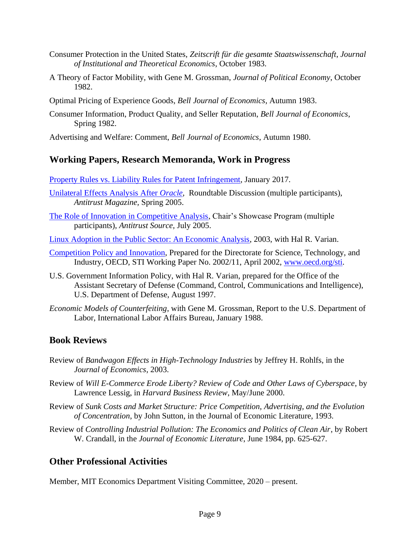- Consumer Protection in the United States, *Zeitscrift für die gesamte Staatswissenschaft*, *Journal of Institutional and Theoretical Economics*, October 1983.
- A Theory of Factor Mobility, with Gene M. Grossman, *Journal of Political Economy*, October 1982.
- Optimal Pricing of Experience Goods, *Bell Journal of Economics*, Autumn 1983.
- Consumer Information, Product Quality, and Seller Reputation, *Bell Journal of Economics*, Spring 1982.

Advertising and Welfare: Comment, *Bell Journal of Economics*, Autumn 1980.

## **Working Papers, Research Memoranda, Work in Progress**

[Property Rules vs. Liability Rules for Patent Infringement,](http://faculty.haas.berkeley.edu/shapiro/propvsliab.pdf) January 2017.

- [Unilateral Effects Analysis After](http://faculty.haas.berkeley.edu/shapiro/oracle.pdf) *Oracle,* Roundtable Discussion (multiple participants), *Antitrust Magazine,* Spring 2005.
- [The Role of Innovation in Competitive Analysis,](http://faculty.haas.berkeley.edu/shapiro/showcase.pdf) Chair's Showcase Program (multiple participants), *Antitrust Source,* July 2005.
- [Linux Adoption in the Public Sector: An Economic Analysis,](http://faculty.haas.berkeley.edu/shapiro/linux.pdf) 2003, with Hal R. Varian.
- [Competition Policy and Innovation,](http://faculty.haas.berkeley.edu/shapiro/oecd.pdf) Prepared for the Directorate for Science, Technology, and Industry, OECD, STI Working Paper No. 2002/11, April 2002, [www.oecd.org/sti.](http://www.oecd.org/sti)
- U.S. Government Information Policy, with Hal R. Varian, prepared for the Office of the Assistant Secretary of Defense (Command, Control, Communications and Intelligence), U.S. Department of Defense, August 1997.
- *Economic Models of Counterfeiting*, with Gene M. Grossman, Report to the U.S. Department of Labor, International Labor Affairs Bureau, January 1988.

## **Book Reviews**

- Review of *Bandwagon Effects in High-Technology Industries* by Jeffrey H. Rohlfs, in the *Journal of Economics*, 2003.
- Review of *Will E-Commerce Erode Liberty? Review of Code and Other Laws of Cyberspace*, by Lawrence Lessig, in *Harvard Business Review*, May/June 2000.
- Review of *Sunk Costs and Market Structure: Price Competition, Advertising, and the Evolution of Concentration*, by John Sutton, in the Journal of Economic Literature, 1993.
- Review of *Controlling Industrial Pollution: The Economics and Politics of Clean Air*, by Robert W. Crandall, in the *Journal of Economic Literature*, June 1984, pp. 625-627.

## **Other Professional Activities**

Member, MIT Economics Department Visiting Committee, 2020 – present.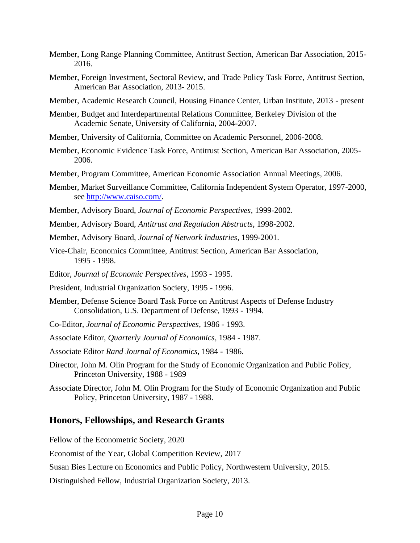- Member, Long Range Planning Committee, Antitrust Section, American Bar Association, 2015- 2016.
- Member, Foreign Investment, Sectoral Review, and Trade Policy Task Force, Antitrust Section, American Bar Association, 2013- 2015.
- Member, Academic Research Council, Housing Finance Center, Urban Institute, 2013 present
- Member, Budget and Interdepartmental Relations Committee, Berkeley Division of the Academic Senate, University of California, 2004-2007.
- Member, University of California, Committee on Academic Personnel, 2006-2008.
- Member, Economic Evidence Task Force, Antitrust Section, American Bar Association, 2005- 2006.
- Member, Program Committee, American Economic Association Annual Meetings, 2006.
- Member, Market Surveillance Committee, California Independent System Operator, 1997-2000, see [http://www.caiso.com/.](http://www.caiso.com/)
- Member, Advisory Board, *Journal of Economic Perspectives*, 1999-2002.
- Member, Advisory Board, *Antitrust and Regulation Abstracts*, 1998-2002.
- Member, Advisory Board, *Journal of Network Industries*, 1999-2001.
- Vice-Chair, Economics Committee, Antitrust Section, American Bar Association, 1995 - 1998.
- Editor, *Journal of Economic Perspectives*, 1993 1995.
- President, Industrial Organization Society, 1995 1996.
- Member, Defense Science Board Task Force on Antitrust Aspects of Defense Industry Consolidation, U.S. Department of Defense, 1993 - 1994.
- Co-Editor, *Journal of Economic Perspectives*, 1986 1993.
- Associate Editor, *Quarterly Journal of Economics*, 1984 1987.
- Associate Editor *Rand Journal of Economics*, 1984 1986.
- Director, John M. Olin Program for the Study of Economic Organization and Public Policy, Princeton University, 1988 - 1989
- Associate Director, John M. Olin Program for the Study of Economic Organization and Public Policy, Princeton University, 1987 - 1988.

#### **Honors, Fellowships, and Research Grants**

Fellow of the Econometric Society, 2020

Economist of the Year, Global Competition Review, 2017

Susan Bies Lecture on Economics and Public Policy, Northwestern University, 2015.

Distinguished Fellow, Industrial Organization Society, 2013.